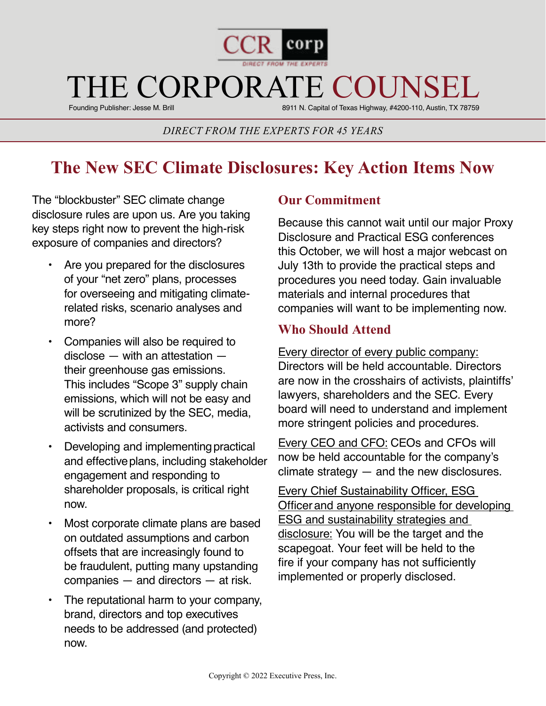

# THE CORPORATE COUNSE

Founding Publisher: Jesse M. Brill

8911 N. Capital of Texas Highway, #4200-110, Austin, TX 78759

#### *DIRECT FROM THE EXPERTS FOR 45 YEARS*

## **The New SEC Climate Disclosures: Key Action Items Now**

The "blockbuster" SEC climate change disclosure rules are upon us. Are you taking key steps right now to prevent the high-risk exposure of companies and directors? 

- Are you prepared for the disclosures of your "net zero" plans, processes for overseeing and mitigating climaterelated risks, scenario analyses and more?
- Companies will also be required to disclose — with an attestation their greenhouse gas emissions. This includes "Scope 3" supply chain emissions, which will not be easy and will be scrutinized by the SEC, media, activists and consumers.
- Developing and implementing practical and effective plans, including stakeholder engagement and responding to shareholder proposals, is critical right now.
- Most corporate climate plans are based on outdated assumptions and carbon offsets that are increasingly found to be fraudulent, putting many upstanding companies — and directors — at risk.
- The reputational harm to your company, brand, directors and top executives needs to be addressed (and protected) now.

#### **Our Commitment**

Because this cannot wait until our major Proxy Disclosure and Practical ESG conferences this October, we will host a major webcast on July 13th to provide the practical steps and procedures you need today. Gain invaluable materials and internal procedures that companies will want to be implementing now.

#### **Who Should Attend**

Every director of every public company:  Directors will be held accountable. Directors are now in the crosshairs of activists, plaintiffs' lawyers, shareholders and the SEC. Every board will need to understand and implement more stringent policies and procedures. 

Every CEO and CFO: CEOs and CFOs will now be held accountable for the company's  $climate$  strategy  $-$  and the new disclosures.

Every Chief Sustainability Officer, ESG Officer and anyone responsible for developing ESG and sustainability strategies and disclosure: You will be the target and the scapegoat. Your feet will be held to the fire if your company has not sufficiently implemented or properly disclosed.